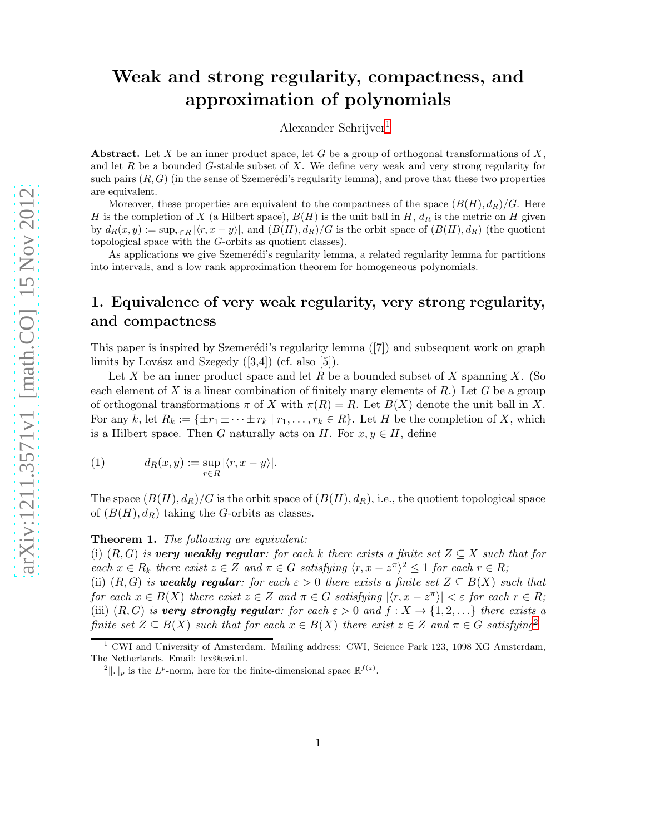# Weak and strong regularity, compactness, and approximation of polynomials

Alexander Schrijver[1](#page-0-0)

Abstract. Let X be an inner product space, let G be a group of orthogonal transformations of  $X$ , and let  $R$  be a bounded  $G$ -stable subset of  $X$ . We define very weak and very strong regularity for such pairs  $(R, G)$  (in the sense of Szemerédi's regularity lemma), and prove that these two properties are equivalent.

Moreover, these properties are equivalent to the compactness of the space  $(B(H), d_R)/G$ . Here H is the completion of X (a Hilbert space),  $B(H)$  is the unit ball in H,  $d<sub>R</sub>$  is the metric on H given by  $d_R(x, y) := \sup_{r \in R} |\langle r, x - y \rangle|$ , and  $(B(H), d_R)/G$  is the orbit space of  $(B(H), d_R)$  (the quotient topological space with the G-orbits as quotient classes).

As applications we give Szemerédi's regularity lemma, a related regularity lemma for partitions into intervals, and a low rank approximation theorem for homogeneous polynomials.

## 1. Equivalence of very weak regularity, very strong regularity, and compactness

This paper is inspired by Szemerédi's regularity lemma ([7]) and subsequent work on graph limits by Lovász and Szegedy  $([3,4])$  (cf. also [5]).

Let  $X$  be an inner product space and let  $R$  be a bounded subset of  $X$  spanning  $X$ . (So each element of X is a linear combination of finitely many elements of R.) Let G be a group of orthogonal transformations  $\pi$  of X with  $\pi(R) = R$ . Let  $B(X)$  denote the unit ball in X. For any k, let  $R_k := \{ \pm r_1 \pm \cdots \pm r_k \mid r_1, \ldots, r_k \in R \}$ . Let H be the completion of X, which is a Hilbert space. Then G naturally acts on H. For  $x, y \in H$ , define

(1) 
$$
d_R(x,y) := \sup_{r \in R} |\langle r, x - y \rangle|.
$$

<span id="page-0-2"></span>The space  $(B(H), d_R)/G$  is the orbit space of  $(B(H), d_R)$ , i.e., the quotient topological space of  $(B(H), d_R)$  taking the G-orbits as classes.

#### Theorem 1. The following are equivalent:

(i)  $(R, G)$  is very weakly regular: for each k there exists a finite set  $Z \subseteq X$  such that for each  $x \in R_k$  there exist  $z \in Z$  and  $\pi \in G$  satisfying  $\langle r, x - z^{\pi} \rangle^2 \leq 1$  for each  $r \in R$ ;

(ii)  $(R, G)$  is weakly regular: for each  $\varepsilon > 0$  there exists a finite set  $Z \subseteq B(X)$  such that for each  $x \in B(X)$  there exist  $z \in Z$  and  $\pi \in G$  satisfying  $|\langle r, x - z^{\pi} \rangle| < \varepsilon$  for each  $r \in R$ ; (iii)  $(R, G)$  is very strongly regular: for each  $\varepsilon > 0$  and  $f: X \to \{1, 2, \ldots\}$  there exists a finite set  $Z \subseteq B(X)$  such that for each  $x \in B(X)$  there exist  $z \in Z$  and  $\pi \in G$  satisfying<sup>[2](#page-0-1)</sup>

<sup>&</sup>lt;sup>1</sup> CWI and University of Amsterdam. Mailing address: CWI, Science Park 123, 1098 XG Amsterdam, The Netherlands. Email: lex@cwi.nl.

<span id="page-0-1"></span><span id="page-0-0"></span><sup>&</sup>lt;sup>2</sup>||.||<sub>p</sub> is the L<sup>p</sup>-norm, here for the finite-dimensional space  $\mathbb{R}^{f(z)}$ .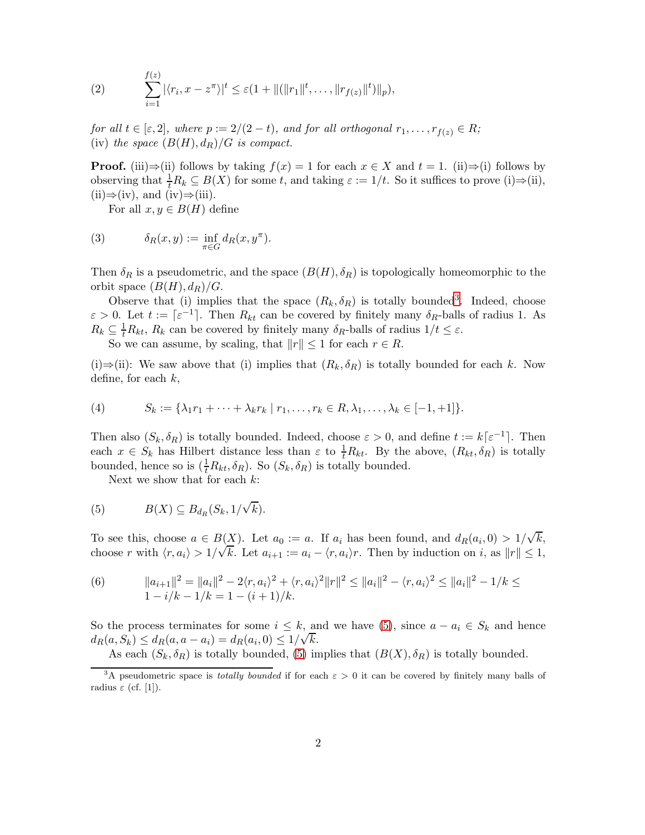(2) 
$$
\sum_{i=1}^{f(z)} |\langle r_i, x - z^{\pi} \rangle|^t \leq \varepsilon (1 + ||(||r_1||^t, \dots, ||r_{f(z)}||^t) ||_p),
$$

for all  $t \in [\varepsilon, 2]$ , where  $p := 2/(2 - t)$ , and for all orthogonal  $r_1, \ldots, r_{f(z)} \in R$ ; (iv) the space  $(B(H), d_R)/G$  is compact.

**Proof.** (iii)⇒(ii) follows by taking  $f(x) = 1$  for each  $x \in X$  and  $t = 1$ . (ii)⇒(i) follows by observing that  $\frac{1}{t}R_k \subseteq B(X)$  for some t, and taking  $\varepsilon := 1/t$ . So it suffices to prove (i) $\Rightarrow$ (ii),  $(ii) \Rightarrow (iv)$ , and  $(iv) \Rightarrow (iii)$ .

For all  $x, y \in B(H)$  define

(3) 
$$
\delta_R(x,y) := \inf_{\pi \in G} d_R(x,y^{\pi}).
$$

Then  $\delta_R$  is a pseudometric, and the space  $(B(H), \delta_R)$  is topologically homeomorphic to the orbit space  $(B(H), d_R)/G$ .

Observe that (i) implies that the space  $(R_k, \delta_R)$  is totally bounded<sup>[3](#page-1-0)</sup>. Indeed, choose  $\varepsilon > 0$ . Let  $t := \lceil \varepsilon^{-1} \rceil$ . Then  $R_{kt}$  can be covered by finitely many  $\delta_R$ -balls of radius 1. As  $R_k \subseteq \frac{1}{t}R_{kt}$ ,  $R_k$  can be covered by finitely many  $\delta_R$ -balls of radius  $1/t \leq \varepsilon$ . So we can assume, by scaling, that  $||r|| \leq 1$  for each  $r \in R$ .

(i)⇒(ii): We saw above that (i) implies that  $(R_k, \delta_R)$  is totally bounded for each k. Now define, for each  $k$ ,

(4) 
$$
S_k := \{ \lambda_1 r_1 + \dots + \lambda_k r_k \mid r_1, \dots, r_k \in R, \lambda_1, \dots, \lambda_k \in [-1, +1] \}.
$$

Then also  $(S_k, \delta_R)$  is totally bounded. Indeed, choose  $\varepsilon > 0$ , and define  $t := k[\varepsilon^{-1}]$ . Then each  $x \in S_k$  has Hilbert distance less than  $\varepsilon$  to  $\frac{1}{t}R_{kt}$ . By the above,  $(R_{kt}, \delta_R)$  is totally bounded, hence so is  $(\frac{1}{t}R_{kt}, \delta_R)$ . So  $(S_k, \delta_R)$  is totally bounded.

<span id="page-1-1"></span>Next we show that for each  $k$ :

(5) 
$$
B(X) \subseteq B_{d_R}(S_k, 1/\sqrt{k}).
$$

To see this, choose  $a \in B(X)$ . Let  $a_0 := a$ . If  $a_i$  has been found, and  $d_R(a_i, 0) > 1/\sqrt{k}$ , choose r with  $\langle r, a_i \rangle > 1/\sqrt{k}$ . Let  $a_{i+1} := a_i - \langle r, a_i \rangle r$ . Then by induction on i, as  $||r|| \le 1$ ,

(6) 
$$
\|a_{i+1}\|^2 = \|a_i\|^2 - 2\langle r, a_i\rangle^2 + \langle r, a_i\rangle^2 \|r\|^2 \le \|a_i\|^2 - \langle r, a_i\rangle^2 \le \|a_i\|^2 - 1/k \le 1 - i/k - 1/k = 1 - (i+1)/k.
$$

So the process terminates for some  $i \leq k$ , and we have [\(5\)](#page-1-1), since  $a - a_i \in S_k$  and hence  $d_R(a, S_k) \leq d_R(a, a - a_i) = d_R(a_i, 0) \leq 1/\sqrt{k}.$ 

As each  $(S_k, \delta_R)$  is totally bounded, [\(5\)](#page-1-1) implies that  $(B(X), \delta_R)$  is totally bounded.

<span id="page-1-0"></span><sup>&</sup>lt;sup>3</sup>A pseudometric space is *totally bounded* if for each  $\varepsilon > 0$  it can be covered by finitely many balls of radius  $\varepsilon$  (cf. [1]).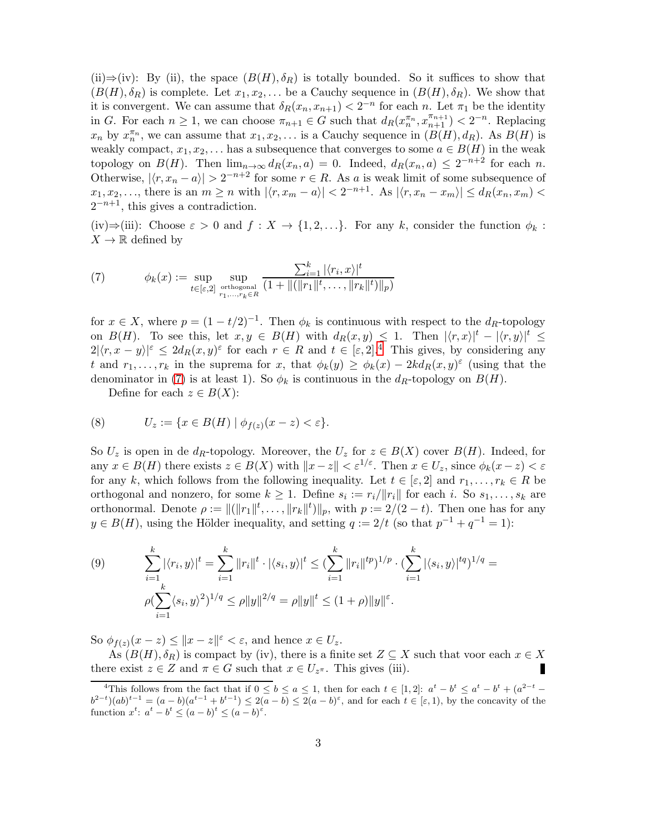(ii)⇒(iv): By (ii), the space  $(B(H), \delta_R)$  is totally bounded. So it suffices to show that  $(B(H), \delta_R)$  is complete. Let  $x_1, x_2, \ldots$  be a Cauchy sequence in  $(B(H), \delta_R)$ . We show that it is convergent. We can assume that  $\delta_R(x_n, x_{n+1}) < 2^{-n}$  for each n. Let  $\pi_1$  be the identity in G. For each  $n \geq 1$ , we can choose  $\pi_{n+1} \in G$  such that  $d_R(x_n^{\pi_n}, x_{n+1}^{\pi_{n+1}}) < 2^{-n}$ . Replacing  $x_n$  by  $x_n^{\pi_n}$ , we can assume that  $x_1, x_2, \ldots$  is a Cauchy sequence in  $(B(H), d_R)$ . As  $B(H)$  is weakly compact,  $x_1, x_2, \ldots$  has a subsequence that converges to some  $a \in B(H)$  in the weak topology on  $B(H)$ . Then  $\lim_{n\to\infty} d_R(x_n, a) = 0$ . Indeed,  $d_R(x_n, a) \leq 2^{-n+2}$  for each n. Otherwise,  $|\langle r, x_n - a \rangle| > 2^{-n+2}$  for some  $r \in R$ . As a is weak limit of some subsequence of  $x_1, x_2, \ldots$ , there is an  $m \ge n$  with  $|\langle r, x_m - a \rangle| < 2^{-n+1}$ . As  $|\langle r, x_n - x_m \rangle| \le d_R(x_n, x_m)$  $2^{-n+1}$ , this gives a contradiction.

<span id="page-2-1"></span>(iv)⇒(iii): Choose  $\varepsilon > 0$  and  $f: X \to \{1, 2, ...\}$ . For any k, consider the function  $\phi_k$ :  $X \to \mathbb{R}$  defined by

(7) 
$$
\phi_k(x) := \sup_{t \in [\varepsilon, 2]} \sup_{\substack{\text{orthogonal} \\ r_1, \dots, r_k \in R}} \frac{\sum_{i=1}^k |\langle r_i, x \rangle|^t}{(1 + ||(\|r_1\|^t, \dots, \|r_k\|^t) \|_p)}
$$

for  $x \in X$ , where  $p = (1 - t/2)^{-1}$ . Then  $\phi_k$  is continuous with respect to the  $d_R$ -topology on  $B(H)$ . To see this, let  $x, y \in B(H)$  with  $d_R(x, y) \leq 1$ . Then  $|\langle r, x \rangle|^t - |\langle r, y \rangle|^t \leq$  $2|\langle r, x-y\rangle|^{\varepsilon} \leq 2d_R(x, y)^{\varepsilon}$  for each  $r \in R$  and  $t \in [\varepsilon, 2]^A$ . This gives, by considering any t and  $r_1, \ldots, r_k$  in the suprema for x, that  $\phi_k(y) \ge \phi_k(x) - 2k d_R(x, y)$ <sup> $\epsilon$ </sup> (using that the denominator in [\(7\)](#page-2-1) is at least 1). So  $\phi_k$  is continuous in the  $d_R$ -topology on  $B(H)$ .

Define for each  $z \in B(X)$ :

(8) 
$$
U_z := \{ x \in B(H) \mid \phi_{f(z)}(x - z) < \varepsilon \}.
$$

So  $U_z$  is open in de  $d_R$ -topology. Moreover, the  $U_z$  for  $z \in B(X)$  cover  $B(H)$ . Indeed, for any  $x \in B(H)$  there exists  $z \in B(X)$  with  $||x-z|| < \varepsilon^{1/\varepsilon}$ . Then  $x \in U_z$ , since  $\phi_k(x-z) < \varepsilon$ for any k, which follows from the following inequality. Let  $t \in [\varepsilon, 2]$  and  $r_1, \ldots, r_k \in R$  be orthogonal and nonzero, for some  $k \geq 1$ . Define  $s_i := r_i / ||r_i||$  for each i. So  $s_1, \ldots, s_k$  are orthonormal. Denote  $\rho := ||(||r_1||^t, \ldots, ||r_k||^t) ||_p$ , with  $p := 2/(2 - t)$ . Then one has for any  $y \in B(H)$ , using the Hölder inequality, and setting  $q := 2/t$  (so that  $p^{-1} + q^{-1} = 1$ ):

(9) 
$$
\sum_{i=1}^{k} |\langle r_i, y \rangle|^t = \sum_{i=1}^{k} ||r_i||^t \cdot |\langle s_i, y \rangle|^t \leq (\sum_{i=1}^{k} ||r_i||^{tp})^{1/p} \cdot (\sum_{i=1}^{k} |\langle s_i, y \rangle|^{tq})^{1/q} = \rho (\sum_{i=1}^{k} \langle s_i, y \rangle^2)^{1/q} \leq \rho ||y||^{2/q} = \rho ||y||^t \leq (1 + \rho) ||y||^{\varepsilon}.
$$

So  $\phi_{f(z)}(x-z) \leq ||x-z||^{\varepsilon} < \varepsilon$ , and hence  $x \in U_z$ .

As  $(B(H), \delta_R)$  is compact by (iv), there is a finite set  $Z \subseteq X$  such that voor each  $x \in X$  re exist  $z \in Z$  and  $\pi \in G$  such that  $x \in U_{z\pi}$ . This gives (iii). there exist  $z \in Z$  and  $\pi \in G$  such that  $x \in U_{z^{\pi}}$ . This gives (iii).

<span id="page-2-0"></span><sup>&</sup>lt;sup>4</sup>This follows from the fact that if  $0 \le b \le a \le 1$ , then for each  $t \in [1,2]$ :  $a^t - b^t \le a^t - b^t + (a^{2-t} - b^t)$  $b^{2-t}$ ) $(ab)^{t-1} = (a - b)(a^{t-1} + b^{t-1}) \leq 2(a - b) \leq 2(a - b)^{\varepsilon}$ , and for each  $t \in [\varepsilon, 1)$ , by the concavity of the function  $x^t$ :  $a^t - b^t \leq (a - b)^t \leq (a - b)^{\varepsilon}$ .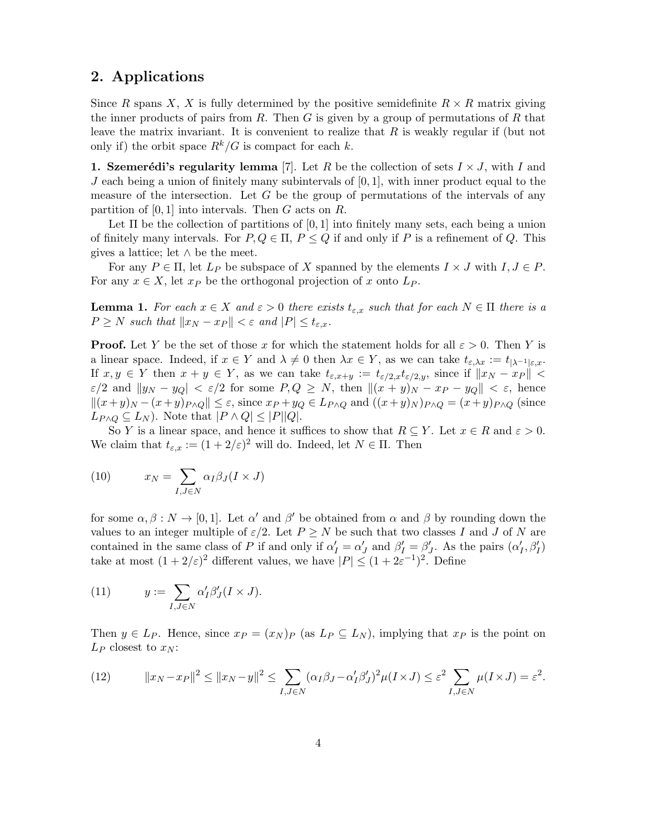## 2. Applications

Since R spans X, X is fully determined by the positive semidefinite  $R \times R$  matrix giving the inner products of pairs from  $R$ . Then  $G$  is given by a group of permutations of  $R$  that leave the matrix invariant. It is convenient to realize that  $R$  is weakly regular if (but not only if) the orbit space  $R^k/G$  is compact for each k.

1. Szemerédi's regularity lemma [7]. Let R be the collection of sets  $I \times J$ , with I and J each being a union of finitely many subintervals of  $[0, 1]$ , with inner product equal to the measure of the intersection. Let  $G$  be the group of permutations of the intervals of any partition of  $[0, 1]$  into intervals. Then G acts on R.

Let  $\Pi$  be the collection of partitions of  $[0, 1]$  into finitely many sets, each being a union of finitely many intervals. For  $P, Q \in \Pi$ ,  $P \leq Q$  if and only if P is a refinement of Q. This gives a lattice; let  $\wedge$  be the meet.

<span id="page-3-0"></span>For any  $P \in \Pi$ , let  $L_P$  be subspace of X spanned by the elements  $I \times J$  with  $I, J \in P$ . For any  $x \in X$ , let  $x_P$  be the orthogonal projection of x onto  $L_P$ .

**Lemma 1.** For each  $x \in X$  and  $\varepsilon > 0$  there exists  $t_{\varepsilon,x}$  such that for each  $N \in \Pi$  there is a  $P \geq N$  such that  $||x_N - x_P|| < \varepsilon$  and  $|P| \leq t_{\varepsilon,x}$ .

**Proof.** Let Y be the set of those x for which the statement holds for all  $\varepsilon > 0$ . Then Y is a linear space. Indeed, if  $x \in Y$  and  $\lambda \neq 0$  then  $\lambda x \in Y$ , as we can take  $t_{\varepsilon,\lambda x} := t_{|\lambda|^{-1}|\varepsilon,x}$ . If  $x, y \in Y$  then  $x + y \in Y$ , as we can take  $t_{\varepsilon,x+y} := t_{\varepsilon/2,x}t_{\varepsilon/2,y}$ , since if  $||x_N - x_P|| <$  $\varepsilon/2$  and  $\|y_N - y_Q\| < \varepsilon/2$  for some  $P, Q \ge N$ , then  $\|(x + y)_N - x_P - y_Q\| < \varepsilon$ , hence  $||(x+y)_{N} - (x+y)_{P \wedge Q}|| \leq \varepsilon$ , since  $x_{P} + y_{Q} \in L_{P \wedge Q}$  and  $((x+y)_{N})_{P \wedge Q} = (x+y)_{P \wedge Q}$  (since  $L_{P \wedge Q} \subseteq L_N$ ). Note that  $|P \wedge Q| \leq |P||Q|$ .

So Y is a linear space, and hence it suffices to show that  $R \subseteq Y$ . Let  $x \in R$  and  $\varepsilon > 0$ . We claim that  $t_{\varepsilon,x} := (1 + 2/\varepsilon)^2$  will do. Indeed, let  $N \in \Pi$ . Then

(10) 
$$
x_N = \sum_{I,J \in N} \alpha_I \beta_J (I \times J)
$$

for some  $\alpha, \beta : N \to [0,1]$ . Let  $\alpha'$  and  $\beta'$  be obtained from  $\alpha$  and  $\beta$  by rounding down the values to an integer multiple of  $\varepsilon/2$ . Let  $P \geq N$  be such that two classes I and J of N are contained in the same class of P if and only if  $\alpha'_I = \alpha'_J$  and  $\beta'_I = \beta'_J$ . As the pairs  $(\alpha'_I, \beta'_I)$ take at most  $(1+2/\varepsilon)^2$  different values, we have  $|P| \le (1+2\varepsilon^{-1})^2$ . Define

(11) 
$$
y := \sum_{I,J \in N} \alpha'_I \beta'_J (I \times J).
$$

Then  $y \in L_P$ . Hence, since  $x_P = (x_N)_P$  (as  $L_P \subseteq L_N$ ), implying that  $x_P$  is the point on  $L_P$  closest to  $x_N$ :

(12) 
$$
||x_N - x_P||^2 \le ||x_N - y||^2 \le \sum_{I,J \in N} (\alpha_I \beta_J - \alpha_I' \beta_J')^2 \mu(I \times J) \le \varepsilon^2 \sum_{I,J \in N} \mu(I \times J) = \varepsilon^2.
$$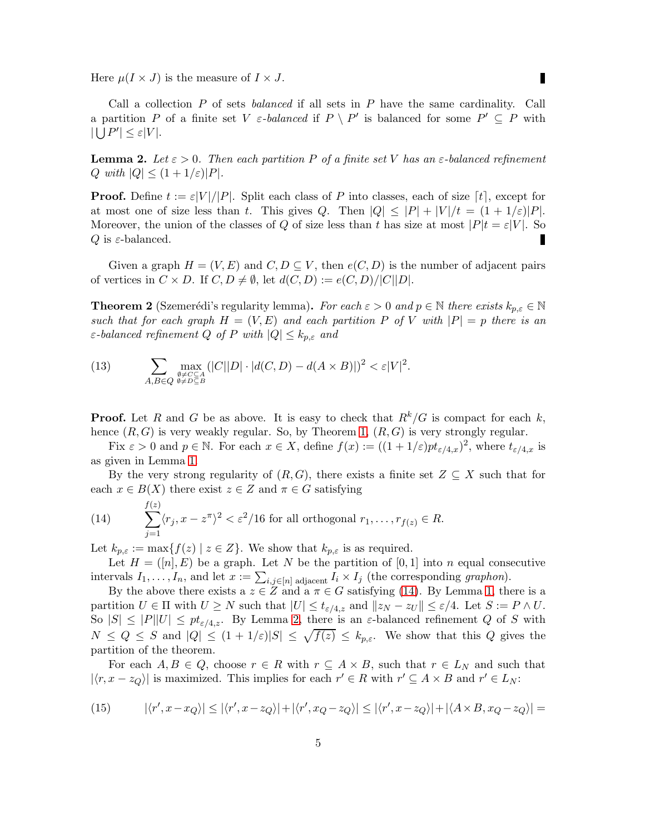Here  $\mu(I \times J)$  is the measure of  $I \times J$ .

Call a collection  $P$  of sets *balanced* if all sets in  $P$  have the same cardinality. Call a partition P of a finite set V  $\varepsilon$ -balanced if  $P \setminus P'$  is balanced for some  $P' \subseteq P$  with  $|\bigcup P'| \leq \varepsilon |V|.$ 

<span id="page-4-1"></span>**Lemma 2.** Let  $\varepsilon > 0$ . Then each partition P of a finite set V has an  $\varepsilon$ -balanced refinement Q with  $|Q| \leq (1 + 1/\varepsilon)|P|$ .

**Proof.** Define  $t := \varepsilon |V|/|P|$ . Split each class of P into classes, each of size  $\lceil t \rceil$ , except for at most one of size less than t. This gives Q. Then  $|Q| \leq |P| + |V|/t = (1 + 1/\varepsilon)|P|$ . Moreover, the union of the classes of Q of size less than t has size at most  $|P|t = \varepsilon|V|$ . So Q is  $\varepsilon$ -balanced.

Given a graph  $H = (V, E)$  and  $C, D \subseteq V$ , then  $e(C, D)$  is the number of adjacent pairs of vertices in  $C \times D$ . If  $C, D \neq \emptyset$ , let  $d(C, D) := e(C, D)/|C||D|$ .

<span id="page-4-3"></span>**Theorem 2** (Szemerédi's regularity lemma). For each  $\varepsilon > 0$  and  $p \in \mathbb{N}$  there exists  $k_{p,\varepsilon} \in \mathbb{N}$ such that for each graph  $H = (V, E)$  and each partition P of V with  $|P| = p$  there is an  $\varepsilon$ -balanced refinement Q of P with  $|Q| \leq k_{p,\varepsilon}$  and

(13) 
$$
\sum_{\substack{\emptyset \neq C \subseteq A \\ A, B \in Q}} \max_{\substack{\emptyset \neq C \subseteq A \\ \emptyset \neq D \subseteq B}} (|C||D| \cdot |d(C, D) - d(A \times B)|)^2 < \varepsilon |V|^2.
$$

**Proof.** Let R and G be as above. It is easy to check that  $R^k/G$  is compact for each k, hence  $(R, G)$  is very weakly regular. So, by Theorem [1,](#page-0-2)  $(R, G)$  is very strongly regular.

Fix  $\varepsilon > 0$  and  $p \in \mathbb{N}$ . For each  $x \in X$ , define  $f(x) := ((1 + 1/\varepsilon)pt_{\varepsilon/4,x})^2$ , where  $t_{\varepsilon/4,x}$  is as given in Lemma [1.](#page-3-0)

<span id="page-4-0"></span>By the very strong regularity of  $(R, G)$ , there exists a finite set  $Z \subseteq X$  such that for each  $x \in B(X)$  there exist  $z \in Z$  and  $\pi \in G$  satisfying

(14) 
$$
\sum_{j=1}^{f(z)} \langle r_j, x - z^{\pi} \rangle^2 < \varepsilon^2 / 16 \text{ for all orthogonal } r_1, \dots, r_{f(z)} \in R.
$$

Let  $k_{p,\varepsilon} := \max\{f(z) \mid z \in Z\}$ . We show that  $k_{p,\varepsilon}$  is as required.

Let  $H = ([n], E)$  be a graph. Let N be the partition of  $[0, 1]$  into n equal consecutive intervals  $I_1, \ldots, I_n$ , and let  $x := \sum_{i,j \in [n]} \text{adjacent } I_i \times I_j$  (the corresponding graphon).

By the above there exists a  $z \in \overline{Z}$  and a  $\pi \in G$  satisfying [\(14\)](#page-4-0). By Lemma [1,](#page-3-0) there is a partition  $U \in \Pi$  with  $U \geq N$  such that  $|U| \leq t_{\varepsilon/4,z}$  and  $||z_N - z_U|| \leq \varepsilon/4$ . Let  $S := P \wedge U$ . So  $|S| \leq |P||U| \leq pt_{\varepsilon/4,z}$ . By Lemma [2,](#page-4-1) there is an  $\varepsilon$ -balanced refinement Q of S with  $N \leq Q \leq S$  and  $|Q| \leq (1 + 1/\varepsilon)|S| \leq \sqrt{f(z)} \leq k_{p,\varepsilon}$ . We show that this Q gives the partition of the theorem.

<span id="page-4-2"></span>For each  $A, B \in Q$ , choose  $r \in R$  with  $r \subseteq A \times B$ , such that  $r \in L_N$  and such that  $|\langle r, x - z_Q \rangle|$  is maximized. This implies for each  $r' \in R$  with  $r' \subseteq A \times B$  and  $r' \in L_N$ :

(15) 
$$
|\langle r', x - x_Q \rangle| \le |\langle r', x - z_Q \rangle| + |\langle r', x_Q - z_Q \rangle| \le |\langle r', x - z_Q \rangle| + |\langle A \times B, x_Q - z_Q \rangle| =
$$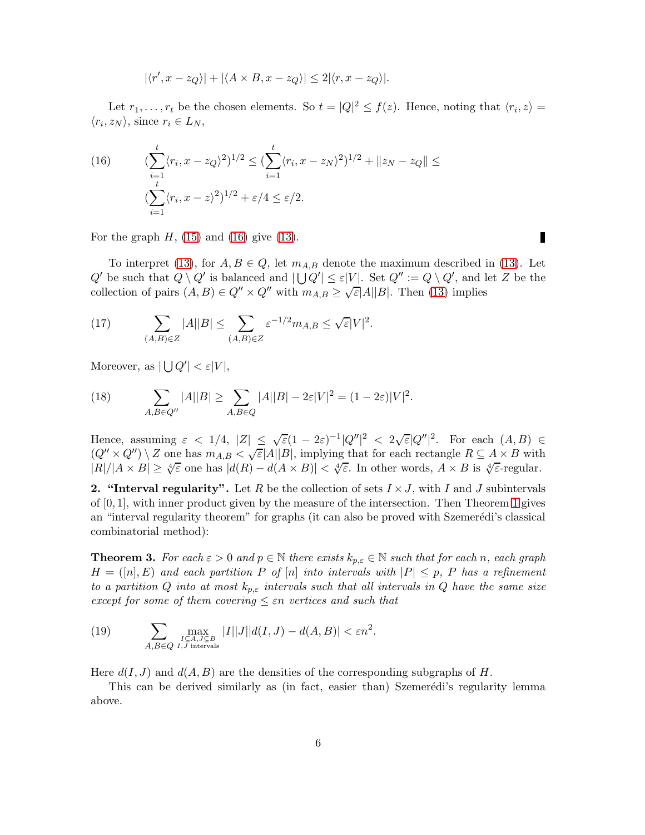<span id="page-5-0"></span>
$$
|\langle r', x - z_Q \rangle| + |\langle A \times B, x - z_Q \rangle| \le 2 |\langle r, x - z_Q \rangle|.
$$

Let  $r_1, \ldots, r_t$  be the chosen elements. So  $t = |Q|^2 \le f(z)$ . Hence, noting that  $\langle r_i, z \rangle =$  $\langle r_i, z_N \rangle$ , since  $r_i \in L_N$ ,

(16) 
$$
(\sum_{i=1}^{t} \langle r_i, x - z_Q \rangle^2)^{1/2} \leq (\sum_{i=1}^{t} \langle r_i, x - z_N \rangle^2)^{1/2} + ||z_N - z_Q|| \leq
$$

$$
(\sum_{i=1}^{t} \langle r_i, x - z \rangle^2)^{1/2} + \varepsilon/4 \leq \varepsilon/2.
$$

For the graph  $H$ , [\(15\)](#page-4-2) and [\(16\)](#page-5-0) give [\(13\)](#page-4-3).

To interpret [\(13\)](#page-4-3), for  $A, B \in Q$ , let  $m_{A,B}$  denote the maximum described in (13). Let  $Q'$  be such that  $Q \setminus Q'$  is balanced and  $|\bigcup Q'| \leq \varepsilon |V|$ . Set  $Q'' := Q \setminus Q'$ , and let Z be the collection of pairs  $(A, B) \in Q'' \times Q''$  with  $m_{A,B} \ge \sqrt{\varepsilon} |A||B|$ . Then [\(13\)](#page-4-3) implies

(17) 
$$
\sum_{(A,B)\in Z} |A||B| \leq \sum_{(A,B)\in Z} \varepsilon^{-1/2} m_{A,B} \leq \sqrt{\varepsilon}|V|^2.
$$

Moreover, as  $|\bigcup Q'| < \varepsilon |V|$ ,

(18) 
$$
\sum_{A,B\in Q''} |A||B| \ge \sum_{A,B\in Q} |A||B| - 2\varepsilon|V|^2 = (1 - 2\varepsilon)|V|^2.
$$

Hence, assuming  $\varepsilon < 1/4$ ,  $|Z| \leq \sqrt{\varepsilon}(1-2\varepsilon)^{-1}|Q''|^2 < 2\sqrt{\varepsilon}|Q''|^2$ . For each  $(A, B) \in$  $(Q'' \times Q'') \setminus Z$  one has  $m_{A,B} < \sqrt{\varepsilon} |A||B|$ , implying that for each rectangle  $R \subseteq A \times B$  with  $|R|/|A \times B| \ge \sqrt[4]{\varepsilon}$  one has  $|d(R) - d(A \times B)| < \sqrt[4]{\varepsilon}$ . In other words,  $A \times B$  is  $\sqrt[4]{\varepsilon}$ -regular.

2. "Interval regularity". Let R be the collection of sets  $I \times J$ , with I and J subintervals of  $[0, 1]$  $[0, 1]$  $[0, 1]$ , with inner product given by the measure of the intersection. Then Theorem 1 gives an "interval regularity theorem" for graphs (it can also be proved with Szemerédi's classical combinatorial method):

**Theorem 3.** For each  $\varepsilon > 0$  and  $p \in \mathbb{N}$  there exists  $k_{p,\varepsilon} \in \mathbb{N}$  such that for each n, each graph  $H = ([n], E)$  and each partition P of  $[n]$  into intervals with  $|P| \leq p$ , P has a refinement to a partition Q into at most  $k_{p,\varepsilon}$  intervals such that all intervals in Q have the same size except for some of them covering  $\leq \varepsilon n$  vertices and such that

(19) 
$$
\sum_{\substack{I \subseteq A, J \subseteq B \\ A, B \in Q}} \max_{\substack{I, J \text{ intervals} \\ I, J \text{ intervals}}} |I||J||d(I, J) - d(A, B)| < \varepsilon n^2.
$$

Here  $d(I, J)$  and  $d(A, B)$  are the densities of the corresponding subgraphs of H.

This can be derived similarly as (in fact, easier than) Szemerédi's regularity lemma above.

П